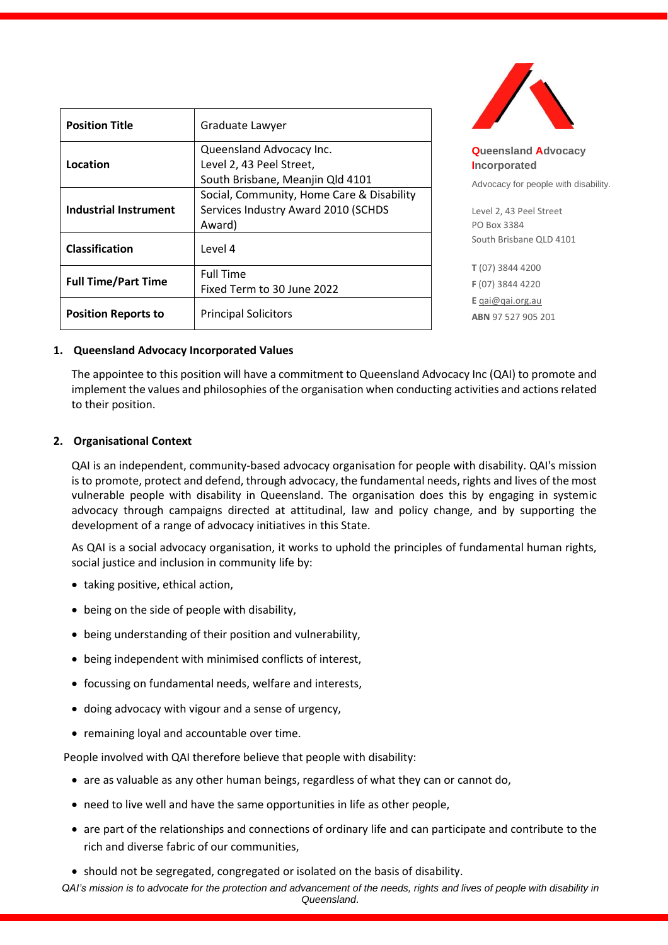| <b>Position Title</b>      | Graduate Lawyer                                                                            |
|----------------------------|--------------------------------------------------------------------------------------------|
| Location                   | Queensland Advocacy Inc.<br>Level 2, 43 Peel Street,<br>South Brisbane, Meanjin Qld 4101   |
| Industrial Instrument      | Social, Community, Home Care & Disability<br>Services Industry Award 2010 (SCHDS<br>Award) |
| Classification             | Level 4                                                                                    |
| <b>Full Time/Part Time</b> | <b>Full Time</b><br>Fixed Term to 30 June 2022                                             |
| <b>Position Reports to</b> | <b>Principal Solicitors</b>                                                                |



**Queensland Advocacy Incorporated**  Advocacy for people with disability.

Level 2, 43 Peel Street PO Box 3384 South Brisbane QLD 4101

**T** (07) 3844 4200 **F** (07) 3844 4220 **E** [qai@qai.org.au](mailto:qai@qai.org.au) **ABN** 97 527 905 201

#### **1. Queensland Advocacy Incorporated Values**

The appointee to this position will have a commitment to Queensland Advocacy Inc (QAI) to promote and implement the values and philosophies of the organisation when conducting activities and actions related to their position.

# **2. Organisational Context**

QAI is an independent, community-based advocacy organisation for people with disability. QAI's mission is to promote, protect and defend, through advocacy, the fundamental needs, rights and lives of the most vulnerable people with disability in Queensland. The organisation does this by engaging in systemic advocacy through campaigns directed at attitudinal, law and policy change, and by supporting the development of a range of advocacy initiatives in this State.

As QAI is a social advocacy organisation, it works to uphold the principles of fundamental human rights, social justice and inclusion in community life by:

- taking positive, ethical action,
- being on the side of people with disability,
- being understanding of their position and vulnerability,
- being independent with minimised conflicts of interest,
- focussing on fundamental needs, welfare and interests,
- doing advocacy with vigour and a sense of urgency,
- remaining loyal and accountable over time.

People involved with QAI therefore believe that people with disability:

- are as valuable as any other human beings, regardless of what they can or cannot do,
- need to live well and have the same opportunities in life as other people,
- are part of the relationships and connections of ordinary life and can participate and contribute to the rich and diverse fabric of our communities,
- should not be segregated, congregated or isolated on the basis of disability.

*QAI's mission is to advocate for the protection and advancement of the needs, rights and lives of people with disability in Queensland*.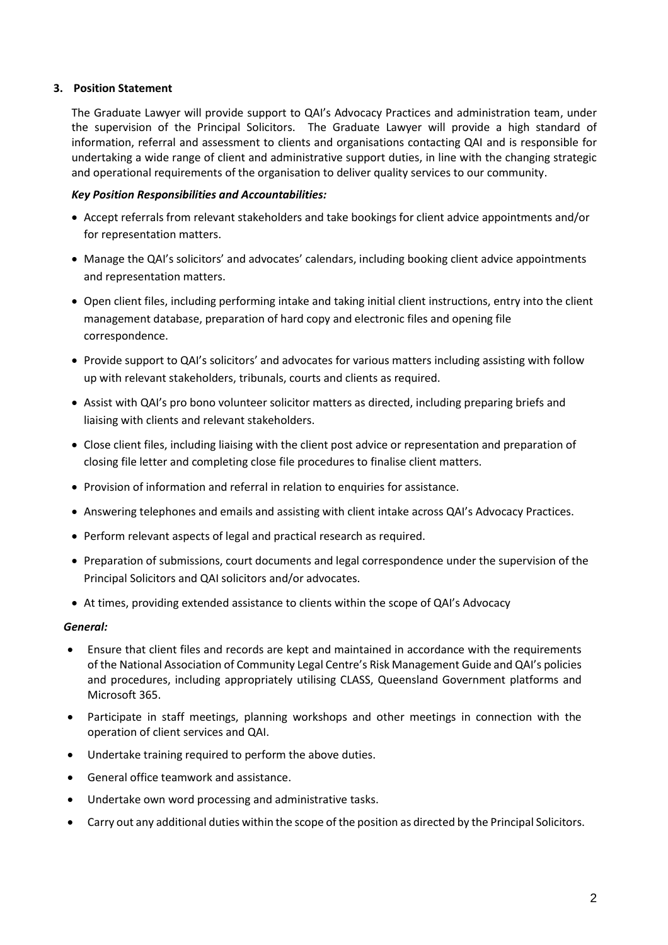# **3. Position Statement**

The Graduate Lawyer will provide support to QAI's Advocacy Practices and administration team, under the supervision of the Principal Solicitors. The Graduate Lawyer will provide a high standard of information, referral and assessment to clients and organisations contacting QAI and is responsible for undertaking a wide range of client and administrative support duties, in line with the changing strategic and operational requirements of the organisation to deliver quality services to our community.

### *Key Position Responsibilities and Accountabilities:*

- Accept referrals from relevant stakeholders and take bookings for client advice appointments and/or for representation matters.
- Manage the QAI's solicitors' and advocates' calendars, including booking client advice appointments and representation matters.
- Open client files, including performing intake and taking initial client instructions, entry into the client management database, preparation of hard copy and electronic files and opening file correspondence.
- Provide support to QAI's solicitors' and advocates for various matters including assisting with follow up with relevant stakeholders, tribunals, courts and clients as required.
- Assist with QAI's pro bono volunteer solicitor matters as directed, including preparing briefs and liaising with clients and relevant stakeholders.
- Close client files, including liaising with the client post advice or representation and preparation of closing file letter and completing close file procedures to finalise client matters.
- Provision of information and referral in relation to enquiries for assistance.
- Answering telephones and emails and assisting with client intake across QAI's Advocacy Practices.
- Perform relevant aspects of legal and practical research as required.
- Preparation of submissions, court documents and legal correspondence under the supervision of the Principal Solicitors and QAI solicitors and/or advocates.
- At times, providing extended assistance to clients within the scope of QAI's Advocacy

#### *General:*

- Ensure that client files and records are kept and maintained in accordance with the requirements of the National Association of Community Legal Centre's Risk Management Guide and QAI's policies and procedures, including appropriately utilising CLASS, Queensland Government platforms and Microsoft 365.
- Participate in staff meetings, planning workshops and other meetings in connection with the operation of client services and QAI.
- Undertake training required to perform the above duties.
- General office teamwork and assistance.
- Undertake own word processing and administrative tasks.
- Carry out any additional duties within the scope of the position as directed by the Principal Solicitors.